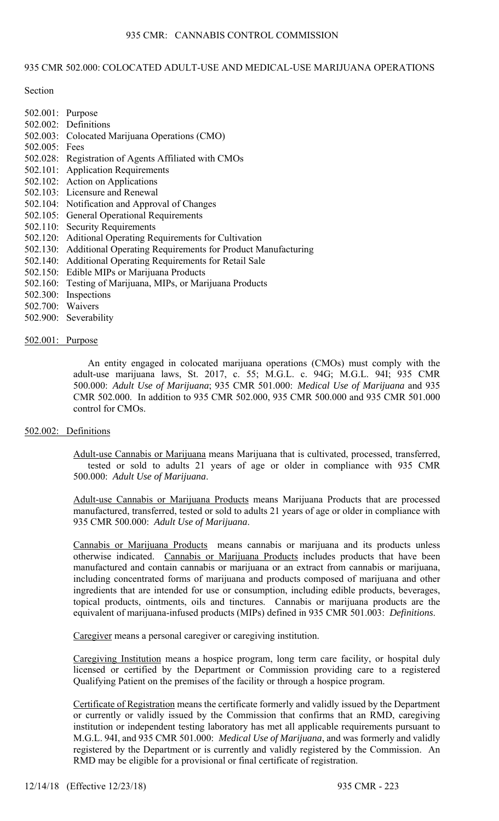# 935 CMR 502.000: COLOCATED ADULT-USE AND MEDICAL-USE MARIJUANA OPERATIONS

Section

- 502.001: Purpose 502.002: Definitions 502.003: Colocated Marijuana Operations (CMO) 502.005: Fees 502.028: Registration of Agents Affiliated with CMOs 502.101: Application Requirements 502.102: Action on Applications 502.103: Licensure and Renewal 502.104: Notification and Approval of Changes 502.105: General Operational Requirements 502.110: Security Requirements 502.120: Aditional Operating Requirements for Cultivation 502.130: Additional Operating Requirements for Product Manufacturing 502.140: Additional Operating Requirements for Retail Sale
- 502.150: Edible MIPs or Marijuana Products
- 502.160: Testing of Marijuana, MIPs, or Marijuana Products
- 502.300: Inspections
- 502.700: Waivers
- 502.900: Severability

### 502.001: Purpose

An entity engaged in colocated marijuana operations (CMOs) must comply with the adult-use marijuana laws, St. 2017, c. 55; M.G.L. c. 94G; M.G.L. 94I; 935 CMR 500.000: *Adult Use of Marijuana*; 935 CMR 501.000: *Medical Use of Marijuana* and 935 CMR 502.000. In addition to 935 CMR 502.000, 935 CMR 500.000 and 935 CMR 501.000 control for CMOs.

# 502.002: Definitions

Adult-use Cannabis or Marijuana means Marijuana that is cultivated, processed, transferred, tested or sold to adults 21 years of age or older in compliance with 935 CMR 500.000: *Adult Use of Marijuana*.

Adult-use Cannabis or Marijuana Products means Marijuana Products that are processed manufactured, transferred, tested or sold to adults 21 years of age or older in compliance with 935 CMR 500.000: *Adult Use of Marijuana*.

Cannabis or Marijuana Products means cannabis or marijuana and its products unless otherwise indicated. Cannabis or Marijuana Products includes products that have been manufactured and contain cannabis or marijuana or an extract from cannabis or marijuana, including concentrated forms of marijuana and products composed of marijuana and other ingredients that are intended for use or consumption, including edible products, beverages, topical products, ointments, oils and tinctures. Cannabis or marijuana products are the equivalent of marijuana-infused products (MIPs) defined in 935 CMR 501.003: *Definitions*.

Caregiver means a personal caregiver or caregiving institution.

Caregiving Institution means a hospice program, long term care facility, or hospital duly licensed or certified by the Department or Commission providing care to a registered Qualifying Patient on the premises of the facility or through a hospice program.

Certificate of Registration means the certificate formerly and validly issued by the Department or currently or validly issued by the Commission that confirms that an RMD, caregiving institution or independent testing laboratory has met all applicable requirements pursuant to M.G.L. 94I, and 935 CMR 501.000: *Medical Use of Marijuana*, and was formerly and validly registered by the Department or is currently and validly registered by the Commission. An RMD may be eligible for a provisional or final certificate of registration.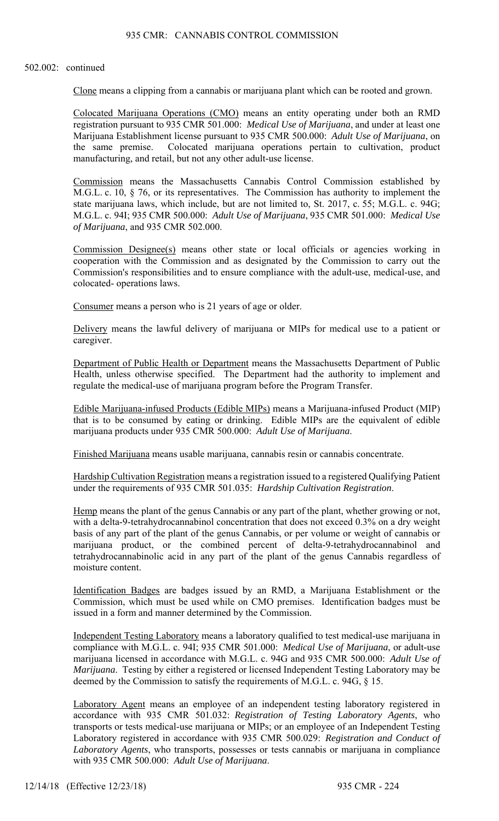#### 502.002: continued

Clone means a clipping from a cannabis or marijuana plant which can be rooted and grown.

Colocated Marijuana Operations (CMO) means an entity operating under both an RMD registration pursuant to 935 CMR 501.000: *Medical Use of Marijuana*, and under at least one Marijuana Establishment license pursuant to 935 CMR 500.000: *Adult Use of Marijuana*, on the same premise. Colocated marijuana operations pertain to cultivation, product manufacturing, and retail, but not any other adult-use license.

Commission means the Massachusetts Cannabis Control Commission established by M.G.L. c. 10, § 76, or its representatives. The Commission has authority to implement the state marijuana laws, which include, but are not limited to, St. 2017, c. 55; M.G.L. c. 94G; M.G.L. c. 94I; 935 CMR 500.000: *Adult Use of Marijuana*, 935 CMR 501.000: *Medical Use of Marijuana*, and 935 CMR 502.000.

Commission Designee(s) means other state or local officials or agencies working in cooperation with the Commission and as designated by the Commission to carry out the Commission's responsibilities and to ensure compliance with the adult-use, medical-use, and colocated- operations laws.

Consumer means a person who is 21 years of age or older.

Delivery means the lawful delivery of marijuana or MIPs for medical use to a patient or caregiver.

Department of Public Health or Department means the Massachusetts Department of Public Health, unless otherwise specified. The Department had the authority to implement and regulate the medical-use of marijuana program before the Program Transfer.

Edible Marijuana-infused Products (Edible MIPs) means a Marijuana-infused Product (MIP) that is to be consumed by eating or drinking. Edible MIPs are the equivalent of edible marijuana products under 935 CMR 500.000: *Adult Use of Marijuana*.

Finished Marijuana means usable marijuana, cannabis resin or cannabis concentrate.

Hardship Cultivation Registration means a registration issued to a registered Qualifying Patient under the requirements of 935 CMR 501.035: *Hardship Cultivation Registration*.

Hemp means the plant of the genus Cannabis or any part of the plant, whether growing or not, with a delta-9-tetrahydrocannabinol concentration that does not exceed 0.3% on a dry weight basis of any part of the plant of the genus Cannabis, or per volume or weight of cannabis or marijuana product, or the combined percent of delta-9-tetrahydrocannabinol and tetrahydrocannabinolic acid in any part of the plant of the genus Cannabis regardless of moisture content.

Identification Badges are badges issued by an RMD, a Marijuana Establishment or the Commission, which must be used while on CMO premises. Identification badges must be issued in a form and manner determined by the Commission.

Independent Testing Laboratory means a laboratory qualified to test medical-use marijuana in compliance with M.G.L. c. 94I; 935 CMR 501.000: *Medical Use of Marijuana*, or adult-use marijuana licensed in accordance with M.G.L. c. 94G and 935 CMR 500.000: *Adult Use of Marijuana*. Testing by either a registered or licensed Independent Testing Laboratory may be deemed by the Commission to satisfy the requirements of M.G.L. c. 94G, § 15.

Laboratory Agent means an employee of an independent testing laboratory registered in accordance with 935 CMR 501.032: *Registration of Testing Laboratory Agents*, who transports or tests medical-use marijuana or MIPs; or an employee of an Independent Testing Laboratory registered in accordance with 935 CMR 500.029: *Registration and Conduct of Laboratory Agents*, who transports, possesses or tests cannabis or marijuana in compliance with 935 CMR 500.000: *Adult Use of Marijuana*.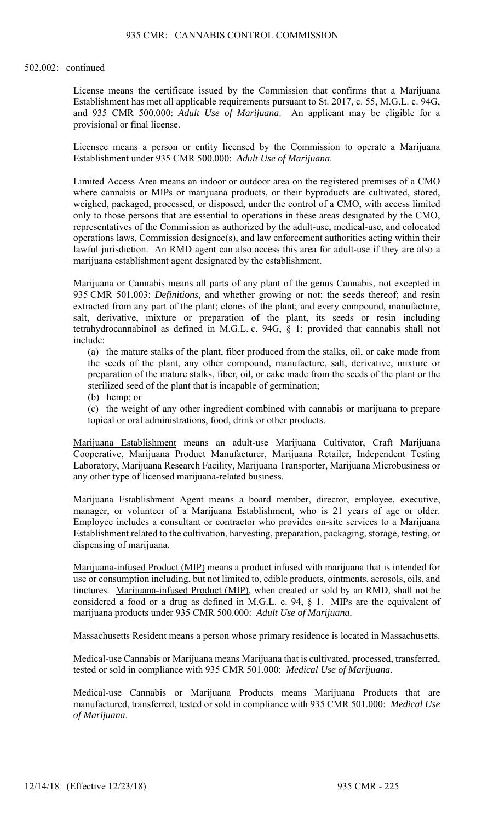#### 502.002: continued

License means the certificate issued by the Commission that confirms that a Marijuana Establishment has met all applicable requirements pursuant to St. 2017, c. 55, M.G.L. c. 94G, and 935 CMR 500.000: *Adult Use of Marijuana*. An applicant may be eligible for a provisional or final license.

Licensee means a person or entity licensed by the Commission to operate a Marijuana Establishment under 935 CMR 500.000: *Adult Use of Marijuana*.

Limited Access Area means an indoor or outdoor area on the registered premises of a CMO where cannabis or MIPs or marijuana products, or their byproducts are cultivated, stored, weighed, packaged, processed, or disposed, under the control of a CMO, with access limited only to those persons that are essential to operations in these areas designated by the CMO, representatives of the Commission as authorized by the adult-use, medical-use, and colocated operations laws, Commission designee(s), and law enforcement authorities acting within their lawful jurisdiction. An RMD agent can also access this area for adult-use if they are also a marijuana establishment agent designated by the establishment.

Marijuana or Cannabis means all parts of any plant of the genus Cannabis, not excepted in 935 CMR 501.003: *Definitions*, and whether growing or not; the seeds thereof; and resin extracted from any part of the plant; clones of the plant; and every compound, manufacture, salt, derivative, mixture or preparation of the plant, its seeds or resin including tetrahydrocannabinol as defined in M.G.L. c. 94G, § 1; provided that cannabis shall not include:

(a) the mature stalks of the plant, fiber produced from the stalks, oil, or cake made from the seeds of the plant, any other compound, manufacture, salt, derivative, mixture or preparation of the mature stalks, fiber, oil, or cake made from the seeds of the plant or the sterilized seed of the plant that is incapable of germination;

(b) hemp; or

(c) the weight of any other ingredient combined with cannabis or marijuana to prepare topical or oral administrations, food, drink or other products.

Marijuana Establishment means an adult-use Marijuana Cultivator, Craft Marijuana Cooperative, Marijuana Product Manufacturer, Marijuana Retailer, Independent Testing Laboratory, Marijuana Research Facility, Marijuana Transporter, Marijuana Microbusiness or any other type of licensed marijuana-related business.

Marijuana Establishment Agent means a board member, director, employee, executive, manager, or volunteer of a Marijuana Establishment, who is 21 years of age or older. Employee includes a consultant or contractor who provides on-site services to a Marijuana Establishment related to the cultivation, harvesting, preparation, packaging, storage, testing, or dispensing of marijuana.

Marijuana-infused Product (MIP) means a product infused with marijuana that is intended for use or consumption including, but not limited to, edible products, ointments, aerosols, oils, and tinctures. Marijuana-infused Product (MIP), when created or sold by an RMD, shall not be considered a food or a drug as defined in M.G.L. c. 94, § 1. MIPs are the equivalent of marijuana products under 935 CMR 500.000: *Adult Use of Marijuana*.

Massachusetts Resident means a person whose primary residence is located in Massachusetts.

Medical-use Cannabis or Marijuana means Marijuana that is cultivated, processed, transferred, tested or sold in compliance with 935 CMR 501.000: *Medical Use of Marijuana*.

Medical-use Cannabis or Marijuana Products means Marijuana Products that are manufactured, transferred, tested or sold in compliance with 935 CMR 501.000: *Medical Use of Marijuana*.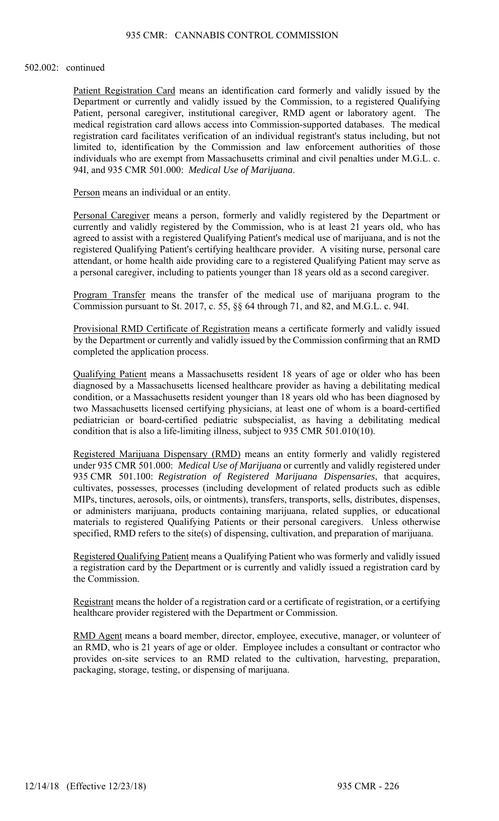#### 502.002: continued

Patient Registration Card means an identification card formerly and validly issued by the Department or currently and validly issued by the Commission, to a registered Qualifying Patient, personal caregiver, institutional caregiver, RMD agent or laboratory agent. The medical registration card allows access into Commission-supported databases. The medical registration card facilitates verification of an individual registrant's status including, but not limited to, identification by the Commission and law enforcement authorities of those individuals who are exempt from Massachusetts criminal and civil penalties under M.G.L. c. 94I, and 935 CMR 501.000: *Medical Use of Marijuana*.

Person means an individual or an entity.

Personal Caregiver means a person, formerly and validly registered by the Department or currently and validly registered by the Commission, who is at least 21 years old, who has agreed to assist with a registered Qualifying Patient's medical use of marijuana, and is not the registered Qualifying Patient's certifying healthcare provider. A visiting nurse, personal care attendant, or home health aide providing care to a registered Qualifying Patient may serve as a personal caregiver, including to patients younger than 18 years old as a second caregiver.

Program Transfer means the transfer of the medical use of marijuana program to the Commission pursuant to St. 2017, c. 55, §§ 64 through 71, and 82, and M.G.L. c. 94I.

Provisional RMD Certificate of Registration means a certificate formerly and validly issued by the Department or currently and validly issued by the Commission confirming that an RMD completed the application process.

Qualifying Patient means a Massachusetts resident 18 years of age or older who has been diagnosed by a Massachusetts licensed healthcare provider as having a debilitating medical condition, or a Massachusetts resident younger than 18 years old who has been diagnosed by two Massachusetts licensed certifying physicians, at least one of whom is a board-certified pediatrician or board-certified pediatric subspecialist, as having a debilitating medical condition that is also a life-limiting illness, subject to 935 CMR 501.010(10).

Registered Marijuana Dispensary (RMD) means an entity formerly and validly registered under 935 CMR 501.000: *Medical Use of Marijuana* or currently and validly registered under 935 CMR 501.100: *Registration of Registered Marijuana Dispensaries*, that acquires, cultivates, possesses, processes (including development of related products such as edible MIPs, tinctures, aerosols, oils, or ointments), transfers, transports, sells, distributes, dispenses, or administers marijuana, products containing marijuana, related supplies, or educational materials to registered Qualifying Patients or their personal caregivers. Unless otherwise specified, RMD refers to the site(s) of dispensing, cultivation, and preparation of marijuana.

Registered Qualifying Patient means a Qualifying Patient who was formerly and validly issued a registration card by the Department or is currently and validly issued a registration card by the Commission.

Registrant means the holder of a registration card or a certificate of registration, or a certifying healthcare provider registered with the Department or Commission.

RMD Agent means a board member, director, employee, executive, manager, or volunteer of an RMD, who is 21 years of age or older. Employee includes a consultant or contractor who provides on-site services to an RMD related to the cultivation, harvesting, preparation, packaging, storage, testing, or dispensing of marijuana.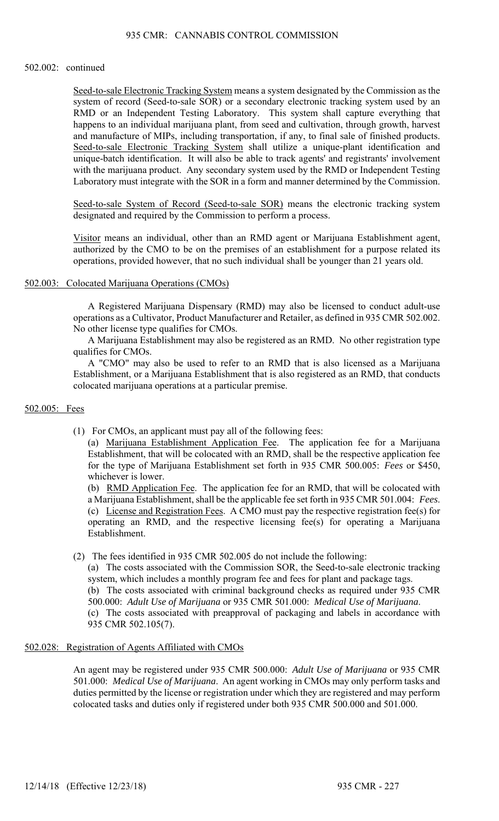### 935 CMR: CANNABIS CONTROL COMMISSION

#### 502.002: continued

Seed-to-sale Electronic Tracking System means a system designated by the Commission as the system of record (Seed-to-sale SOR) or a secondary electronic tracking system used by an RMD or an Independent Testing Laboratory. This system shall capture everything that happens to an individual marijuana plant, from seed and cultivation, through growth, harvest and manufacture of MIPs, including transportation, if any, to final sale of finished products. Seed-to-sale Electronic Tracking System shall utilize a unique-plant identification and unique-batch identification. It will also be able to track agents' and registrants' involvement with the marijuana product. Any secondary system used by the RMD or Independent Testing Laboratory must integrate with the SOR in a form and manner determined by the Commission.

Seed-to-sale System of Record (Seed-to-sale SOR) means the electronic tracking system designated and required by the Commission to perform a process.

Visitor means an individual, other than an RMD agent or Marijuana Establishment agent, authorized by the CMO to be on the premises of an establishment for a purpose related its operations, provided however, that no such individual shall be younger than 21 years old.

## 502.003: Colocated Marijuana Operations (CMOs)

A Registered Marijuana Dispensary (RMD) may also be licensed to conduct adult-use operations as a Cultivator, Product Manufacturer and Retailer, as defined in 935 CMR 502.002. No other license type qualifies for CMOs.

A Marijuana Establishment may also be registered as an RMD. No other registration type qualifies for CMOs.

A "CMO" may also be used to refer to an RMD that is also licensed as a Marijuana Establishment, or a Marijuana Establishment that is also registered as an RMD, that conducts colocated marijuana operations at a particular premise.

#### 502.005: Fees

(1) For CMOs, an applicant must pay all of the following fees:

(a) Marijuana Establishment Application Fee. The application fee for a Marijuana Establishment, that will be colocated with an RMD, shall be the respective application fee for the type of Marijuana Establishment set forth in 935 CMR 500.005: *Fees* or \$450, whichever is lower.

(b) RMD Application Fee. The application fee for an RMD, that will be colocated with a Marijuana Establishment, shall be the applicable fee set forth in 935 CMR 501.004: *Fees*. (c) License and Registration Fees. A CMO must pay the respective registration fee(s) for operating an RMD, and the respective licensing fee(s) for operating a Marijuana Establishment.

(2) The fees identified in 935 CMR 502.005 do not include the following:

(a) The costs associated with the Commission SOR, the Seed-to-sale electronic tracking system, which includes a monthly program fee and fees for plant and package tags.

(b) The costs associated with criminal background checks as required under 935 CMR 500.000: *Adult Use of Marijuana* or 935 CMR 501.000: *Medical Use of Marijuana*.

(c) The costs associated with preapproval of packaging and labels in accordance with 935 CMR 502.105(7).

# 502.028: Registration of Agents Affiliated with CMOs

An agent may be registered under 935 CMR 500.000: *Adult Use of Marijuana* or 935 CMR 501.000: *Medical Use of Marijuana*. An agent working in CMOs may only perform tasks and duties permitted by the license or registration under which they are registered and may perform colocated tasks and duties only if registered under both 935 CMR 500.000 and 501.000.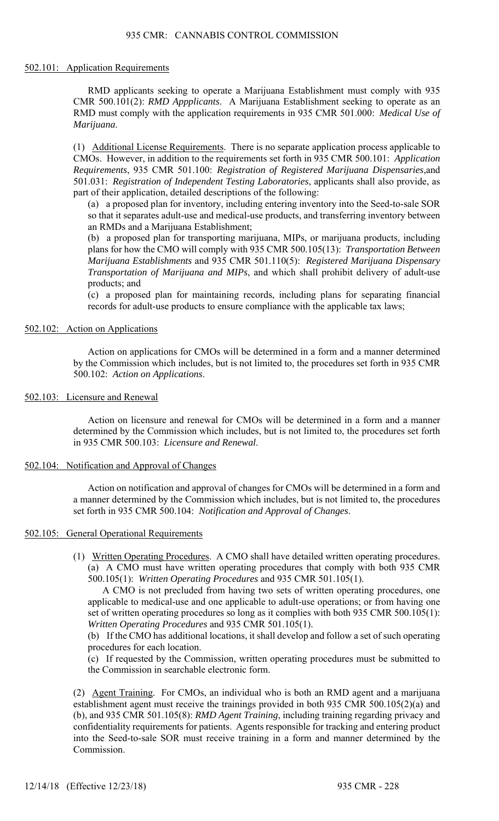## 502.101: Application Requirements

RMD applicants seeking to operate a Marijuana Establishment must comply with 935 CMR 500.101(2): *RMD Appplicants*. A Marijuana Establishment seeking to operate as an RMD must comply with the application requirements in 935 CMR 501.000: *Medical Use of Marijuana*.

(1) Additional License Requirements. There is no separate application process applicable to CMOs. However, in addition to the requirements set forth in 935 CMR 500.101: *Application Requirements*, 935 CMR 501.100: *Registration of Registered Marijuana Dispensaries*,and 501.031: *Registration of Independent Testing Laboratories*, applicants shall also provide, as part of their application, detailed descriptions of the following:

(a) a proposed plan for inventory, including entering inventory into the Seed-to-sale SOR so that it separates adult-use and medical-use products, and transferring inventory between an RMDs and a Marijuana Establishment;

(b) a proposed plan for transporting marijuana, MIPs, or marijuana products, including plans for how the CMO will comply with 935 CMR 500.105(13): *Transportation Between Marijuana Establishments* and 935 CMR 501.110(5): *Registered Marijuana Dispensary Transportation of Marijuana and MIPs*, and which shall prohibit delivery of adult-use products; and

(c) a proposed plan for maintaining records, including plans for separating financial records for adult-use products to ensure compliance with the applicable tax laws;

# 502.102: Action on Applications

Action on applications for CMOs will be determined in a form and a manner determined by the Commission which includes, but is not limited to, the procedures set forth in 935 CMR 500.102: *Action on Applications*.

# 502.103: Licensure and Renewal

Action on licensure and renewal for CMOs will be determined in a form and a manner determined by the Commission which includes, but is not limited to, the procedures set forth in 935 CMR 500.103: *Licensure and Renewal*.

# 502.104: Notification and Approval of Changes

Action on notification and approval of changes for CMOs will be determined in a form and a manner determined by the Commission which includes, but is not limited to, the procedures set forth in 935 CMR 500.104: *Notification and Approval of Changes*.

# 502.105: General Operational Requirements

(1) Written Operating Procedures. A CMO shall have detailed written operating procedures. (a) A CMO must have written operating procedures that comply with both 935 CMR 500.105(1): *Written Operating Procedures* and 935 CMR 501.105(1).

A CMO is not precluded from having two sets of written operating procedures, one applicable to medical-use and one applicable to adult-use operations; or from having one set of written operating procedures so long as it complies with both 935 CMR 500.105(1): *Written Operating Procedures* and 935 CMR 501.105(1).

(b) If the CMO has additional locations, it shall develop and follow a set of such operating procedures for each location.

(c) If requested by the Commission, written operating procedures must be submitted to the Commission in searchable electronic form.

(2) Agent Training. For CMOs, an individual who is both an RMD agent and a marijuana establishment agent must receive the trainings provided in both 935 CMR 500.105(2)(a) and (b), and 935 CMR 501.105(8): *RMD Agent Training*, including training regarding privacy and confidentiality requirements for patients. Agents responsible for tracking and entering product into the Seed-to-sale SOR must receive training in a form and manner determined by the Commission.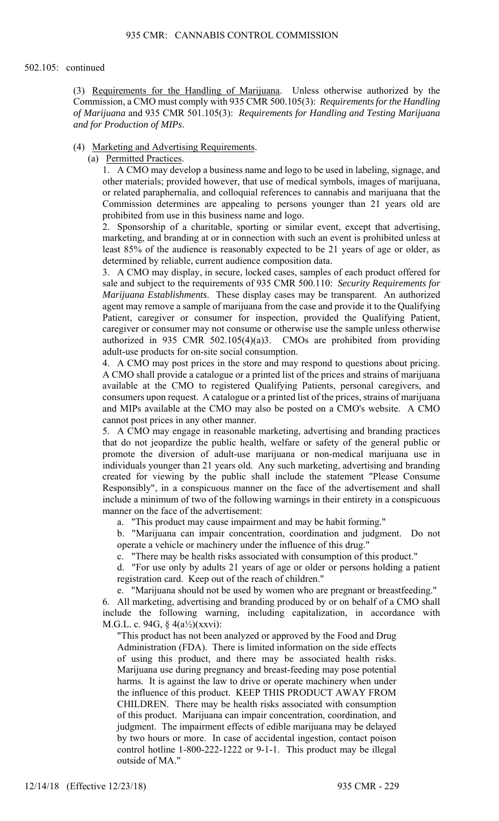(3) Requirements for the Handling of Marijuana. Unless otherwise authorized by the Commission, a CMO must comply with 935 CMR 500.105(3): *Requirements for the Handling of Marijuana* and 935 CMR 501.105(3): *Requirements for Handling and Testing Marijuana and for Production of MIPs*.

## (4) Marketing and Advertising Requirements.

(a) Permitted Practices.

1. A CMO may develop a business name and logo to be used in labeling, signage, and other materials; provided however, that use of medical symbols, images of marijuana, or related paraphernalia, and colloquial references to cannabis and marijuana that the Commission determines are appealing to persons younger than 21 years old are prohibited from use in this business name and logo.

2. Sponsorship of a charitable, sporting or similar event, except that advertising, marketing, and branding at or in connection with such an event is prohibited unless at least 85% of the audience is reasonably expected to be 21 years of age or older, as determined by reliable, current audience composition data.

3. A CMO may display, in secure, locked cases, samples of each product offered for sale and subject to the requirements of 935 CMR 500.110: *Security Requirements for Marijuana Establishments*. These display cases may be transparent. An authorized agent may remove a sample of marijuana from the case and provide it to the Qualifying Patient, caregiver or consumer for inspection, provided the Qualifying Patient, caregiver or consumer may not consume or otherwise use the sample unless otherwise authorized in 935 CMR 502.105(4)(a)3. CMOs are prohibited from providing adult-use products for on-site social consumption.

4. A CMO may post prices in the store and may respond to questions about pricing. A CMO shall provide a catalogue or a printed list of the prices and strains of marijuana available at the CMO to registered Qualifying Patients, personal caregivers, and consumers upon request. A catalogue or a printed list of the prices, strains of marijuana and MIPs available at the CMO may also be posted on a CMO's website. A CMO cannot post prices in any other manner.

5. A CMO may engage in reasonable marketing, advertising and branding practices that do not jeopardize the public health, welfare or safety of the general public or promote the diversion of adult-use marijuana or non-medical marijuana use in individuals younger than 21 years old. Any such marketing, advertising and branding created for viewing by the public shall include the statement "Please Consume Responsibly", in a conspicuous manner on the face of the advertisement and shall include a minimum of two of the following warnings in their entirety in a conspicuous manner on the face of the advertisement:

a. "This product may cause impairment and may be habit forming."

b. "Marijuana can impair concentration, coordination and judgment. Do not operate a vehicle or machinery under the influence of this drug."

c. "There may be health risks associated with consumption of this product."

d. "For use only by adults 21 years of age or older or persons holding a patient registration card. Keep out of the reach of children."

e. "Marijuana should not be used by women who are pregnant or breastfeeding."

6. All marketing, advertising and branding produced by or on behalf of a CMO shall include the following warning, including capitalization, in accordance with M.G.L. c. 94G, § 4(a½)(xxvi):

"This product has not been analyzed or approved by the Food and Drug Administration (FDA). There is limited information on the side effects of using this product, and there may be associated health risks. Marijuana use during pregnancy and breast-feeding may pose potential harms. It is against the law to drive or operate machinery when under the influence of this product. KEEP THIS PRODUCT AWAY FROM CHILDREN. There may be health risks associated with consumption of this product. Marijuana can impair concentration, coordination, and judgment. The impairment effects of edible marijuana may be delayed by two hours or more. In case of accidental ingestion, contact poison control hotline 1-800-222-1222 or 9-1-1. This product may be illegal outside of MA."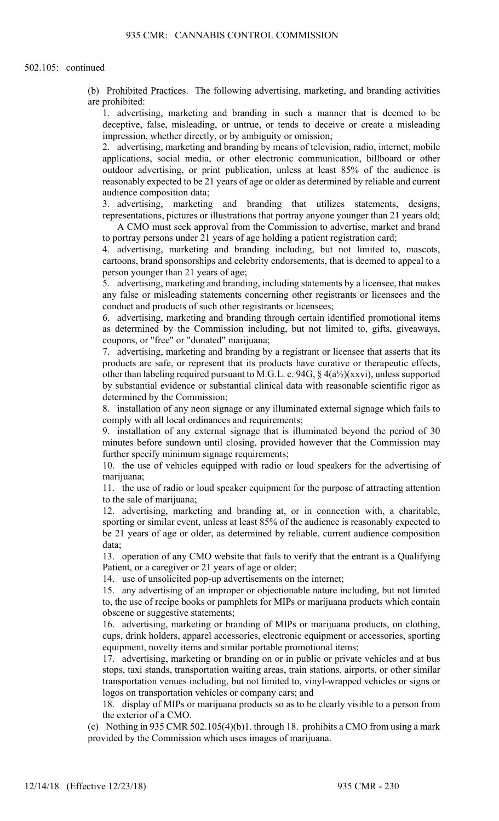(b) Prohibited Practices. The following advertising, marketing, and branding activities are prohibited:

1. advertising, marketing and branding in such a manner that is deemed to be deceptive, false, misleading, or untrue, or tends to deceive or create a misleading impression, whether directly, or by ambiguity or omission;

2. advertising, marketing and branding by means of television, radio, internet, mobile applications, social media, or other electronic communication, billboard or other outdoor advertising, or print publication, unless at least 85% of the audience is reasonably expected to be 21 years of age or older as determined by reliable and current audience composition data;

3. advertising, marketing and branding that utilizes statements, designs, representations, pictures or illustrations that portray anyone younger than 21 years old;

A CMO must seek approval from the Commission to advertise, market and brand to portray persons under 21 years of age holding a patient registration card;

4. advertising, marketing and branding including, but not limited to, mascots, cartoons, brand sponsorships and celebrity endorsements, that is deemed to appeal to a person younger than 21 years of age;

5. advertising, marketing and branding, including statements by a licensee, that makes any false or misleading statements concerning other registrants or licensees and the conduct and products of such other registrants or licensees;

6. advertising, marketing and branding through certain identified promotional items as determined by the Commission including, but not limited to, gifts, giveaways, coupons, or "free" or "donated" marijuana;

7. advertising, marketing and branding by a registrant or licensee that asserts that its products are safe, or represent that its products have curative or therapeutic effects, other than labeling required pursuant to M.G.L. c. 94G,  $\S$  4(a½)(xxvi), unless supported by substantial evidence or substantial clinical data with reasonable scientific rigor as determined by the Commission;

8. installation of any neon signage or any illuminated external signage which fails to comply with all local ordinances and requirements;

9. installation of any external signage that is illuminated beyond the period of 30 minutes before sundown until closing, provided however that the Commission may further specify minimum signage requirements;

10. the use of vehicles equipped with radio or loud speakers for the advertising of marijuana;

11. the use of radio or loud speaker equipment for the purpose of attracting attention to the sale of marijuana;

12. advertising, marketing and branding at, or in connection with, a charitable, sporting or similar event, unless at least 85% of the audience is reasonably expected to be 21 years of age or older, as determined by reliable, current audience composition data;

13. operation of any CMO website that fails to verify that the entrant is a Qualifying Patient, or a caregiver or 21 years of age or older;

14. use of unsolicited pop-up advertisements on the internet;

15. any advertising of an improper or objectionable nature including, but not limited to, the use of recipe books or pamphlets for MIPs or marijuana products which contain obscene or suggestive statements;

16. advertising, marketing or branding of MIPs or marijuana products, on clothing, cups, drink holders, apparel accessories, electronic equipment or accessories, sporting equipment, novelty items and similar portable promotional items;

17. advertising, marketing or branding on or in public or private vehicles and at bus stops, taxi stands, transportation waiting areas, train stations, airports, or other similar transportation venues including, but not limited to, vinyl-wrapped vehicles or signs or logos on transportation vehicles or company cars; and

18. display of MIPs or marijuana products so as to be clearly visible to a person from the exterior of a CMO.

(c) Nothing in 935 CMR 502.105(4)(b)1. through 18. prohibits a CMO from using a mark provided by the Commission which uses images of marijuana.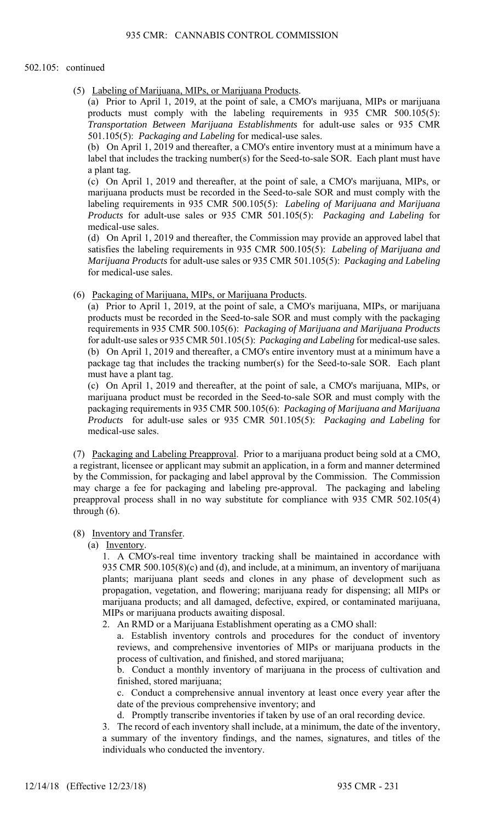### 502.105: continued

(5) Labeling of Marijuana, MIPs, or Marijuana Products.

(a) Prior to April 1, 2019, at the point of sale, a CMO's marijuana, MIPs or marijuana products must comply with the labeling requirements in 935 CMR 500.105(5): *Transportation Between Marijuana Establishments* for adult-use sales or 935 CMR 501.105(5): *Packaging and Labeling* for medical-use sales.

(b) On April 1, 2019 and thereafter, a CMO's entire inventory must at a minimum have a label that includes the tracking number(s) for the Seed-to-sale SOR. Each plant must have a plant tag.

(c) On April 1, 2019 and thereafter, at the point of sale, a CMO's marijuana, MIPs, or marijuana products must be recorded in the Seed-to-sale SOR and must comply with the labeling requirements in 935 CMR 500.105(5): *Labeling of Marijuana and Marijuana Products* for adult-use sales or 935 CMR 501.105(5): *Packaging and Labeling* for medical-use sales.

(d) On April 1, 2019 and thereafter, the Commission may provide an approved label that satisfies the labeling requirements in 935 CMR 500.105(5): *Labeling of Marijuana and Marijuana Products* for adult-use sales or 935 CMR 501.105(5): *Packaging and Labeling* for medical-use sales.

(6) Packaging of Marijuana, MIPs, or Marijuana Products.

(a) Prior to April 1, 2019, at the point of sale, a CMO's marijuana, MIPs, or marijuana products must be recorded in the Seed-to-sale SOR and must comply with the packaging requirements in 935 CMR 500.105(6): *Packaging of Marijuana and Marijuana Products* for adult-use sales or 935 CMR 501.105(5): *Packaging and Labeling* for medical-use sales. (b) On April 1, 2019 and thereafter, a CMO's entire inventory must at a minimum have a package tag that includes the tracking number(s) for the Seed-to-sale SOR. Each plant must have a plant tag.

(c) On April 1, 2019 and thereafter, at the point of sale, a CMO's marijuana, MIPs, or marijuana product must be recorded in the Seed-to-sale SOR and must comply with the packaging requirements in 935 CMR 500.105(6): *Packaging of Marijuana and Marijuana Products* for adult-use sales or 935 CMR 501.105(5): *Packaging and Labeling* for medical-use sales.

(7) Packaging and Labeling Preapproval. Prior to a marijuana product being sold at a CMO, a registrant, licensee or applicant may submit an application, in a form and manner determined by the Commission, for packaging and label approval by the Commission. The Commission may charge a fee for packaging and labeling pre-approval. The packaging and labeling preapproval process shall in no way substitute for compliance with 935 CMR 502.105(4) through (6).

# (8) Inventory and Transfer.

(a) Inventory.

1. A CMO's-real time inventory tracking shall be maintained in accordance with 935 CMR 500.105(8)(c) and (d), and include, at a minimum, an inventory of marijuana plants; marijuana plant seeds and clones in any phase of development such as propagation, vegetation, and flowering; marijuana ready for dispensing; all MIPs or marijuana products; and all damaged, defective, expired, or contaminated marijuana, MIPs or marijuana products awaiting disposal.

2. An RMD or a Marijuana Establishment operating as a CMO shall:

a. Establish inventory controls and procedures for the conduct of inventory reviews, and comprehensive inventories of MIPs or marijuana products in the process of cultivation, and finished, and stored marijuana;

b. Conduct a monthly inventory of marijuana in the process of cultivation and finished, stored marijuana;

c. Conduct a comprehensive annual inventory at least once every year after the date of the previous comprehensive inventory; and

d. Promptly transcribe inventories if taken by use of an oral recording device.

3. The record of each inventory shall include, at a minimum, the date of the inventory, a summary of the inventory findings, and the names, signatures, and titles of the individuals who conducted the inventory.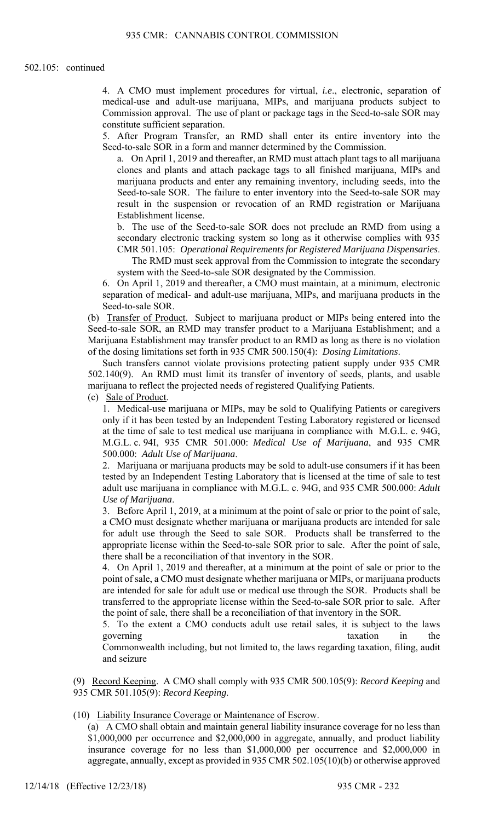4. A CMO must implement procedures for virtual, *i.e*., electronic, separation of medical-use and adult-use marijuana, MIPs, and marijuana products subject to Commission approval. The use of plant or package tags in the Seed-to-sale SOR may constitute sufficient separation.

5. After Program Transfer, an RMD shall enter its entire inventory into the Seed-to-sale SOR in a form and manner determined by the Commission.

a. On April 1, 2019 and thereafter, an RMD must attach plant tags to all marijuana clones and plants and attach package tags to all finished marijuana, MIPs and marijuana products and enter any remaining inventory, including seeds, into the Seed-to-sale SOR. The failure to enter inventory into the Seed-to-sale SOR may result in the suspension or revocation of an RMD registration or Marijuana Establishment license.

b. The use of the Seed-to-sale SOR does not preclude an RMD from using a secondary electronic tracking system so long as it otherwise complies with 935 CMR 501.105: *Operational Requirements for Registered Marijuana Dispensaries*.

The RMD must seek approval from the Commission to integrate the secondary system with the Seed-to-sale SOR designated by the Commission.

6. On April 1, 2019 and thereafter, a CMO must maintain, at a minimum, electronic separation of medical- and adult-use marijuana, MIPs, and marijuana products in the Seed-to-sale SOR.

(b) Transfer of Product. Subject to marijuana product or MIPs being entered into the Seed-to-sale SOR, an RMD may transfer product to a Marijuana Establishment; and a Marijuana Establishment may transfer product to an RMD as long as there is no violation of the dosing limitations set forth in 935 CMR 500.150(4): *Dosing Limitations*.

Such transfers cannot violate provisions protecting patient supply under 935 CMR 502.140(9). An RMD must limit its transfer of inventory of seeds, plants, and usable marijuana to reflect the projected needs of registered Qualifying Patients.

(c) Sale of Product.

1. Medical-use marijuana or MIPs, may be sold to Qualifying Patients or caregivers only if it has been tested by an Independent Testing Laboratory registered or licensed at the time of sale to test medical use marijuana in compliance with M.G.L. c. 94G, M.G.L. c. 94I, 935 CMR 501.000: *Medical Use of Marijuana*, and 935 CMR 500.000: *Adult Use of Marijuana*.

2. Marijuana or marijuana products may be sold to adult-use consumers if it has been tested by an Independent Testing Laboratory that is licensed at the time of sale to test adult use marijuana in compliance with M.G.L. c. 94G, and 935 CMR 500.000: *Adult Use of Marijuana*.

3. Before April 1, 2019, at a minimum at the point of sale or prior to the point of sale, a CMO must designate whether marijuana or marijuana products are intended for sale for adult use through the Seed to sale SOR. Products shall be transferred to the appropriate license within the Seed-to-sale SOR prior to sale. After the point of sale, there shall be a reconciliation of that inventory in the SOR.

4. On April 1, 2019 and thereafter, at a minimum at the point of sale or prior to the point of sale, a CMO must designate whether marijuana or MIPs, or marijuana products are intended for sale for adult use or medical use through the SOR. Products shall be transferred to the appropriate license within the Seed-to-sale SOR prior to sale. After the point of sale, there shall be a reconciliation of that inventory in the SOR.

5. To the extent a CMO conducts adult use retail sales, it is subject to the laws governing taxation in the

Commonwealth including, but not limited to, the laws regarding taxation, filing, audit and seizure

(9) Record Keeping. A CMO shall comply with 935 CMR 500.105(9): *Record Keeping* and 935 CMR 501.105(9): *Record Keeping*.

(10) Liability Insurance Coverage or Maintenance of Escrow.

(a) A CMO shall obtain and maintain general liability insurance coverage for no less than \$1,000,000 per occurrence and \$2,000,000 in aggregate, annually, and product liability insurance coverage for no less than \$1,000,000 per occurrence and \$2,000,000 in aggregate, annually, except as provided in 935 CMR 502.105(10)(b) or otherwise approved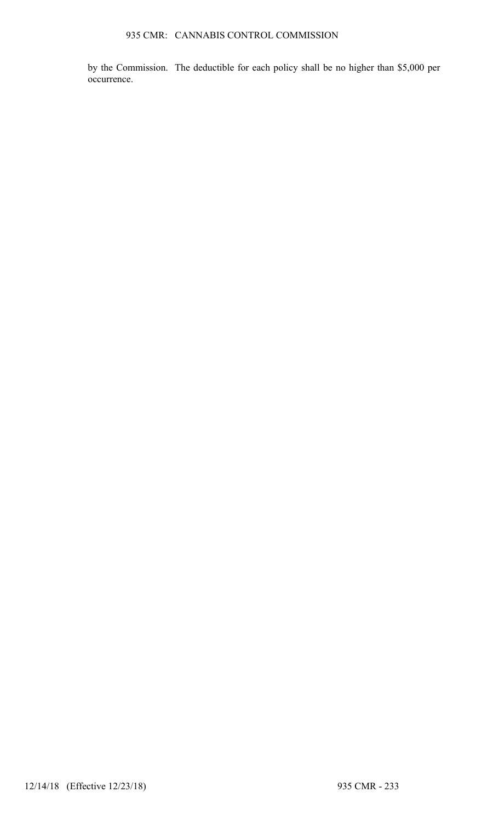by the Commission. The deductible for each policy shall be no higher than \$5,000 per occurrence.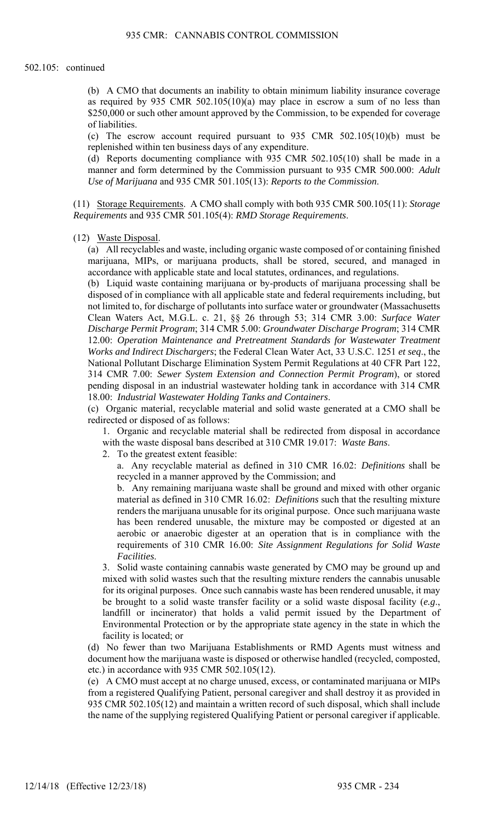(b) A CMO that documents an inability to obtain minimum liability insurance coverage as required by 935 CMR 502.105(10)(a) may place in escrow a sum of no less than \$250,000 or such other amount approved by the Commission, to be expended for coverage of liabilities.

(c) The escrow account required pursuant to 935 CMR 502.105(10)(b) must be replenished within ten business days of any expenditure.

(d) Reports documenting compliance with 935 CMR 502.105(10) shall be made in a manner and form determined by the Commission pursuant to 935 CMR 500.000: *Adult Use of Marijuana* and 935 CMR 501.105(13): *Reports to the Commission*.

(11) Storage Requirements. A CMO shall comply with both 935 CMR 500.105(11): *Storage Requirements* and 935 CMR 501.105(4): *RMD Storage Requirements*.

(12) Waste Disposal.

(a) All recyclables and waste, including organic waste composed of or containing finished marijuana, MIPs, or marijuana products, shall be stored, secured, and managed in accordance with applicable state and local statutes, ordinances, and regulations.

(b) Liquid waste containing marijuana or by-products of marijuana processing shall be disposed of in compliance with all applicable state and federal requirements including, but not limited to, for discharge of pollutants into surface water or groundwater (Massachusetts Clean Waters Act, M.G.L. c. 21, §§ 26 through 53; 314 CMR 3.00: *Surface Water Discharge Permit Program*; 314 CMR 5.00: *Groundwater Discharge Program*; 314 CMR 12.00: *Operation Maintenance and Pretreatment Standards for Wastewater Treatment Works and Indirect Dischargers*; the Federal Clean Water Act, 33 U.S.C. 1251 *et seq*., the National Pollutant Discharge Elimination System Permit Regulations at 40 CFR Part 122, 314 CMR 7.00: *Sewer System Extension and Connection Permit Program*), or stored pending disposal in an industrial wastewater holding tank in accordance with 314 CMR 18.00: *Industrial Wastewater Holding Tanks and Containers*.

(c) Organic material, recyclable material and solid waste generated at a CMO shall be redirected or disposed of as follows:

1. Organic and recyclable material shall be redirected from disposal in accordance with the waste disposal bans described at 310 CMR 19.017: *Waste Bans*.

2. To the greatest extent feasible:

a. Any recyclable material as defined in 310 CMR 16.02: *Definitions* shall be recycled in a manner approved by the Commission; and

b. Any remaining marijuana waste shall be ground and mixed with other organic material as defined in 310 CMR 16.02: *Definitions* such that the resulting mixture renders the marijuana unusable for its original purpose. Once such marijuana waste has been rendered unusable, the mixture may be composted or digested at an aerobic or anaerobic digester at an operation that is in compliance with the requirements of 310 CMR 16.00: *Site Assignment Regulations for Solid Waste Facilities*.

3. Solid waste containing cannabis waste generated by CMO may be ground up and mixed with solid wastes such that the resulting mixture renders the cannabis unusable for its original purposes. Once such cannabis waste has been rendered unusable, it may be brought to a solid waste transfer facility or a solid waste disposal facility (*e.g*., landfill or incinerator) that holds a valid permit issued by the Department of Environmental Protection or by the appropriate state agency in the state in which the facility is located; or

(d) No fewer than two Marijuana Establishments or RMD Agents must witness and document how the marijuana waste is disposed or otherwise handled (recycled, composted, etc.) in accordance with 935 CMR 502.105(12).

(e) A CMO must accept at no charge unused, excess, or contaminated marijuana or MIPs from a registered Qualifying Patient, personal caregiver and shall destroy it as provided in 935 CMR 502.105(12) and maintain a written record of such disposal, which shall include the name of the supplying registered Qualifying Patient or personal caregiver if applicable.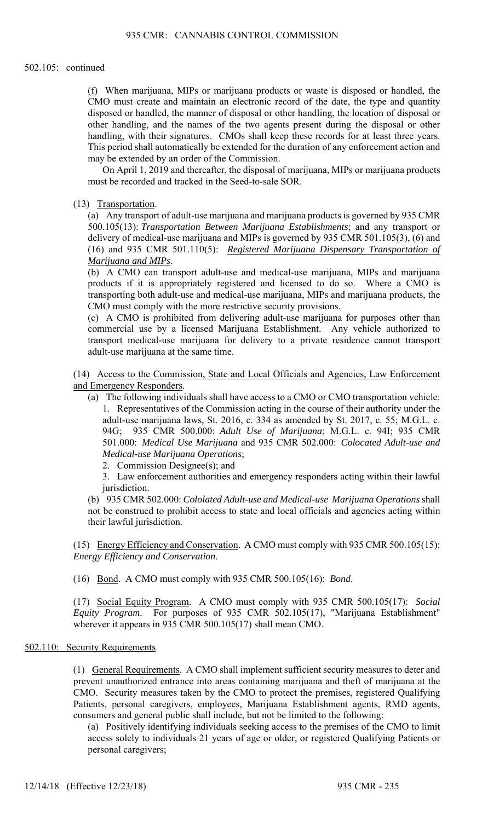(f) When marijuana, MIPs or marijuana products or waste is disposed or handled, the CMO must create and maintain an electronic record of the date, the type and quantity disposed or handled, the manner of disposal or other handling, the location of disposal or other handling, and the names of the two agents present during the disposal or other handling, with their signatures. CMOs shall keep these records for at least three years. This period shall automatically be extended for the duration of any enforcement action and may be extended by an order of the Commission.

On April 1, 2019 and thereafter, the disposal of marijuana, MIPs or marijuana products must be recorded and tracked in the Seed-to-sale SOR.

(13) Transportation.

(a) Any transport of adult-use marijuana and marijuana products is governed by 935 CMR 500.105(13): *Transportation Between Marijuana Establishments*; and any transport or delivery of medical-use marijuana and MIPs is governed by 935 CMR 501.105(3), (6) and (16) and 935 CMR 501.110(5): *Registered Marijuana Dispensary Transportation of Marijuana and MIPs*.

(b) A CMO can transport adult-use and medical-use marijuana, MIPs and marijuana products if it is appropriately registered and licensed to do so. Where a CMO is transporting both adult-use and medical-use marijuana, MIPs and marijuana products, the CMO must comply with the more restrictive security provisions.

(c) A CMO is prohibited from delivering adult-use marijuana for purposes other than commercial use by a licensed Marijuana Establishment. Any vehicle authorized to transport medical-use marijuana for delivery to a private residence cannot transport adult-use marijuana at the same time.

(14) Access to the Commission, State and Local Officials and Agencies, Law Enforcement and Emergency Responders.

- (a) The following individuals shall have access to a CMO or CMO transportation vehicle: 1. Representatives of the Commission acting in the course of their authority under the adult-use marijuana laws, St. 2016, c. 334 as amended by St. 2017, c. 55; M.G.L. c. 94G; 935 CMR 500.000: *Adult Use of Marijuana*; M.G.L. c. 94I; 935 CMR 501.000: *Medical Use Marijuana* and 935 CMR 502.000: *Colocated Adult-use and Medical-use Marijuana Operations*;
	- 2. Commission Designee(s); and

3. Law enforcement authorities and emergency responders acting within their lawful jurisdiction.

(b) 935 CMR 502.000: *Cololated Adult-use and Medical-use Marijuana Operations* shall not be construed to prohibit access to state and local officials and agencies acting within their lawful jurisdiction.

(15) Energy Efficiency and Conservation. A CMO must comply with 935 CMR 500.105(15): *Energy Efficiency and Conservation*.

(16) Bond. A CMO must comply with 935 CMR 500.105(16): *Bond*.

(17) Social Equity Program. A CMO must comply with 935 CMR 500.105(17): *Social Equity Program*. For purposes of 935 CMR 502.105(17), "Marijuana Establishment" wherever it appears in 935 CMR 500.105(17) shall mean CMO.

### 502.110: Security Requirements

(1) General Requirements. A CMO shall implement sufficient security measures to deter and prevent unauthorized entrance into areas containing marijuana and theft of marijuana at the CMO. Security measures taken by the CMO to protect the premises, registered Qualifying Patients, personal caregivers, employees, Marijuana Establishment agents, RMD agents, consumers and general public shall include, but not be limited to the following:

(a) Positively identifying individuals seeking access to the premises of the CMO to limit access solely to individuals 21 years of age or older, or registered Qualifying Patients or personal caregivers;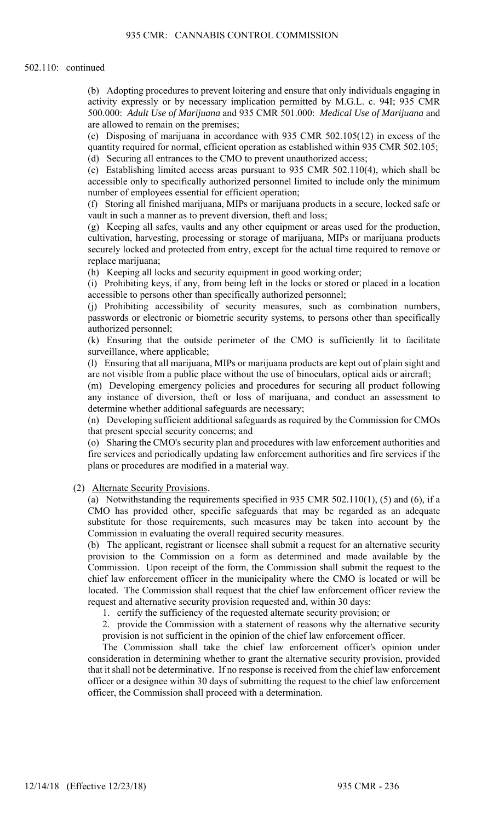#### 502.110: continued

(b) Adopting procedures to prevent loitering and ensure that only individuals engaging in activity expressly or by necessary implication permitted by M.G.L. c. 94I; 935 CMR 500.000: *Adult Use of Marijuana* and 935 CMR 501.000: *Medical Use of Marijuana* and are allowed to remain on the premises;

(c) Disposing of marijuana in accordance with 935 CMR 502.105(12) in excess of the quantity required for normal, efficient operation as established within 935 CMR 502.105; (d) Securing all entrances to the CMO to prevent unauthorized access;

(e) Establishing limited access areas pursuant to 935 CMR 502.110(4), which shall be accessible only to specifically authorized personnel limited to include only the minimum number of employees essential for efficient operation;

(f) Storing all finished marijuana, MIPs or marijuana products in a secure, locked safe or vault in such a manner as to prevent diversion, theft and loss;

(g) Keeping all safes, vaults and any other equipment or areas used for the production, cultivation, harvesting, processing or storage of marijuana, MIPs or marijuana products securely locked and protected from entry, except for the actual time required to remove or replace marijuana;

(h) Keeping all locks and security equipment in good working order;

(i) Prohibiting keys, if any, from being left in the locks or stored or placed in a location accessible to persons other than specifically authorized personnel;

(j) Prohibiting accessibility of security measures, such as combination numbers, passwords or electronic or biometric security systems, to persons other than specifically authorized personnel;

(k) Ensuring that the outside perimeter of the CMO is sufficiently lit to facilitate surveillance, where applicable;

(l) Ensuring that all marijuana, MIPs or marijuana products are kept out of plain sight and are not visible from a public place without the use of binoculars, optical aids or aircraft;

(m) Developing emergency policies and procedures for securing all product following any instance of diversion, theft or loss of marijuana, and conduct an assessment to determine whether additional safeguards are necessary;

(n) Developing sufficient additional safeguards as required by the Commission for CMOs that present special security concerns; and

(o) Sharing the CMO's security plan and procedures with law enforcement authorities and fire services and periodically updating law enforcement authorities and fire services if the plans or procedures are modified in a material way.

## (2) Alternate Security Provisions.

(a) Notwithstanding the requirements specified in 935 CMR 502.110(1), (5) and (6), if a CMO has provided other, specific safeguards that may be regarded as an adequate substitute for those requirements, such measures may be taken into account by the Commission in evaluating the overall required security measures.

(b) The applicant, registrant or licensee shall submit a request for an alternative security provision to the Commission on a form as determined and made available by the Commission. Upon receipt of the form, the Commission shall submit the request to the chief law enforcement officer in the municipality where the CMO is located or will be located. The Commission shall request that the chief law enforcement officer review the request and alternative security provision requested and, within 30 days:

1. certify the sufficiency of the requested alternate security provision; or

2. provide the Commission with a statement of reasons why the alternative security provision is not sufficient in the opinion of the chief law enforcement officer.

The Commission shall take the chief law enforcement officer's opinion under consideration in determining whether to grant the alternative security provision, provided that it shall not be determinative. If no response is received from the chief law enforcement officer or a designee within 30 days of submitting the request to the chief law enforcement officer, the Commission shall proceed with a determination.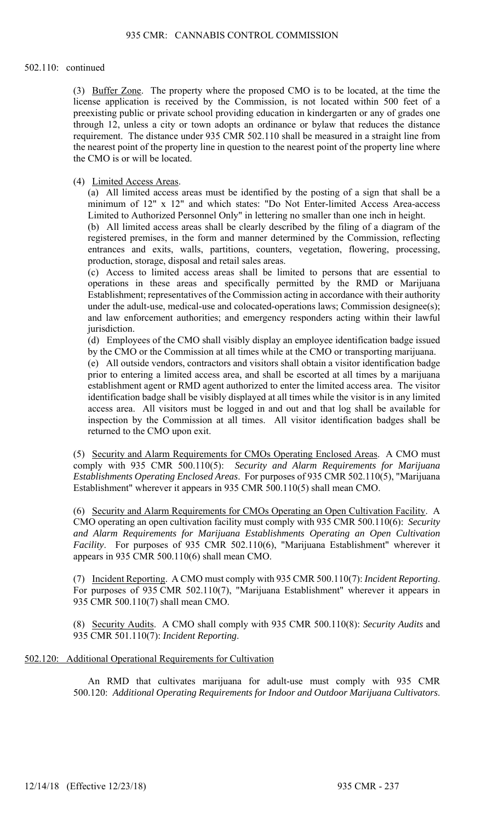#### 502.110: continued

(3) Buffer Zone. The property where the proposed CMO is to be located, at the time the license application is received by the Commission, is not located within 500 feet of a preexisting public or private school providing education in kindergarten or any of grades one through 12, unless a city or town adopts an ordinance or bylaw that reduces the distance requirement. The distance under 935 CMR 502.110 shall be measured in a straight line from the nearest point of the property line in question to the nearest point of the property line where the CMO is or will be located.

# (4) Limited Access Areas.

(a) All limited access areas must be identified by the posting of a sign that shall be a minimum of 12" x 12" and which states: "Do Not Enter-limited Access Area-access Limited to Authorized Personnel Only" in lettering no smaller than one inch in height.

(b) All limited access areas shall be clearly described by the filing of a diagram of the registered premises, in the form and manner determined by the Commission, reflecting entrances and exits, walls, partitions, counters, vegetation, flowering, processing, production, storage, disposal and retail sales areas.

(c) Access to limited access areas shall be limited to persons that are essential to operations in these areas and specifically permitted by the RMD or Marijuana Establishment; representatives of the Commission acting in accordance with their authority under the adult-use, medical-use and colocated-operations laws; Commission designee(s); and law enforcement authorities; and emergency responders acting within their lawful jurisdiction.

(d) Employees of the CMO shall visibly display an employee identification badge issued by the CMO or the Commission at all times while at the CMO or transporting marijuana.

(e) All outside vendors, contractors and visitors shall obtain a visitor identification badge prior to entering a limited access area, and shall be escorted at all times by a marijuana establishment agent or RMD agent authorized to enter the limited access area. The visitor identification badge shall be visibly displayed at all times while the visitor is in any limited access area. All visitors must be logged in and out and that log shall be available for inspection by the Commission at all times. All visitor identification badges shall be returned to the CMO upon exit.

(5) Security and Alarm Requirements for CMOs Operating Enclosed Areas. A CMO must comply with 935 CMR 500.110(5): *Security and Alarm Requirements for Marijuana Establishments Operating Enclosed Areas*. For purposes of 935 CMR 502.110(5), "Marijuana Establishment" wherever it appears in 935 CMR 500.110(5) shall mean CMO.

(6) Security and Alarm Requirements for CMOs Operating an Open Cultivation Facility. A CMO operating an open cultivation facility must comply with 935 CMR 500.110(6): *Security and Alarm Requirements for Marijuana Establishments Operating an Open Cultivation Facility*. For purposes of 935 CMR 502.110(6), "Marijuana Establishment" wherever it appears in 935 CMR 500.110(6) shall mean CMO.

(7) Incident Reporting. A CMO must comply with 935 CMR 500.110(7): *Incident Reporting*. For purposes of 935 CMR 502.110(7), "Marijuana Establishment" wherever it appears in 935 CMR 500.110(7) shall mean CMO.

(8) Security Audits. A CMO shall comply with 935 CMR 500.110(8): *Security Audits* and 935 CMR 501.110(7): *Incident Reporting*.

# 502.120: Additional Operational Requirements for Cultivation

An RMD that cultivates marijuana for adult-use must comply with 935 CMR 500.120: *Additional Operating Requirements for Indoor and Outdoor Marijuana Cultivators*.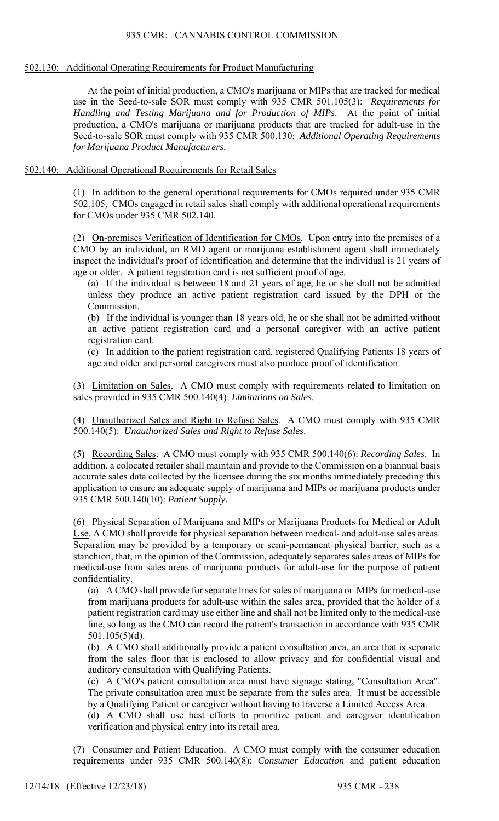## 502.130: Additional Operating Requirements for Product Manufacturing

At the point of initial production, a CMO's marijuana or MIPs that are tracked for medical use in the Seed-to-sale SOR must comply with 935 CMR 501.105(3): *Requirements for Handling and Testing Marijuana and for Production of MIPs*. At the point of initial production, a CMO's marijuana or marijuana products that are tracked for adult-use in the Seed-to-sale SOR must comply with 935 CMR 500.130: *Additional Operating Requirements for Marijuana Product Manufacturers*.

# 502.140: Additional Operational Requirements for Retail Sales

(1) In addition to the general operational requirements for CMOs required under 935 CMR 502.105*,* CMOs engaged in retail sales shall comply with additional operational requirements for CMOs under 935 CMR 502.140.

(2) On-premises Verification of Identification for CMOs. Upon entry into the premises of a CMO by an individual, an RMD agent or marijuana establishment agent shall immediately inspect the individual's proof of identification and determine that the individual is 21 years of age or older. A patient registration card is not sufficient proof of age.

(a) If the individual is between 18 and 21 years of age, he or she shall not be admitted unless they produce an active patient registration card issued by the DPH or the Commission.

(b) If the individual is younger than 18 years old, he or she shall not be admitted without an active patient registration card and a personal caregiver with an active patient registration card.

(c) In addition to the patient registration card, registered Qualifying Patients 18 years of age and older and personal caregivers must also produce proof of identification.

(3) Limitation on Sales. A CMO must comply with requirements related to limitation on sales provided in 935 CMR 500.140(4): *Limitations on Sales*.

(4) Unauthorized Sales and Right to Refuse Sales. A CMO must comply with 935 CMR 500.140(5): *Unauthorized Sales and Right to Refuse Sales*.

(5) Recording Sales. A CMO must comply with 935 CMR 500.140(6): *Recording Sales*. In addition, a colocated retailer shall maintain and provide to the Commission on a biannual basis accurate sales data collected by the licensee during the six months immediately preceding this application to ensure an adequate supply of marijuana and MIPs or marijuana products under 935 CMR 500.140(10): *Patient Supply*.

(6) Physical Separation of Marijuana and MIPs or Marijuana Products for Medical or Adult Use. A CMO shall provide for physical separation between medical- and adult-use sales areas. Separation may be provided by a temporary or semi-permanent physical barrier, such as a stanchion, that, in the opinion of the Commission, adequately separates sales areas of MIPs for medical-use from sales areas of marijuana products for adult-use for the purpose of patient confidentiality.

(a) A CMO shall provide for separate lines for sales of marijuana or MIPs for medical-use from marijuana products for adult-use within the sales area, provided that the holder of a patient registration card may use either line and shall not be limited only to the medical-use line, so long as the CMO can record the patient's transaction in accordance with 935 CMR 501.105(5)(d).

(b) A CMO shall additionally provide a patient consultation area, an area that is separate from the sales floor that is enclosed to allow privacy and for confidential visual and auditory consultation with Qualifying Patients.

(c) A CMO's patient consultation area must have signage stating, "Consultation Area". The private consultation area must be separate from the sales area. It must be accessible by a Qualifying Patient or caregiver without having to traverse a Limited Access Area.

(d) A CMO shall use best efforts to prioritize patient and caregiver identification verification and physical entry into its retail area.

(7) Consumer and Patient Education. A CMO must comply with the consumer education requirements under 935 CMR 500.140(8): *Consumer Education* and patient education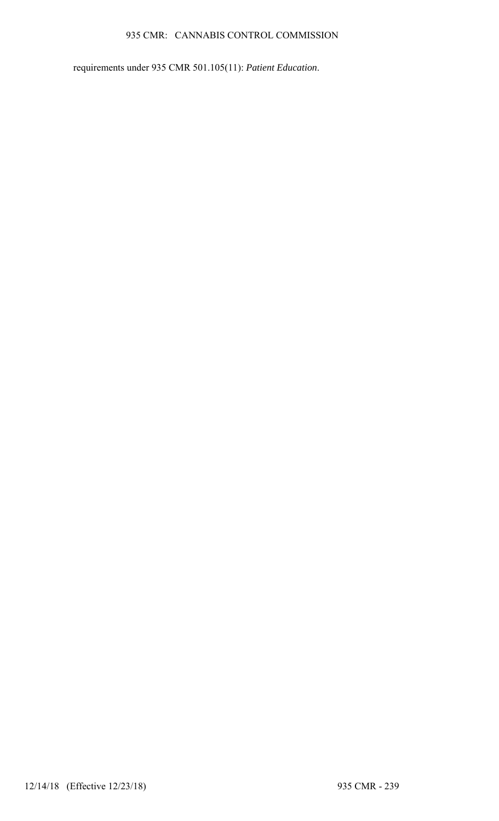# 935 CMR: CANNABIS CONTROL COMMISSION

requirements under 935 CMR 501.105(11): *Patient Education*.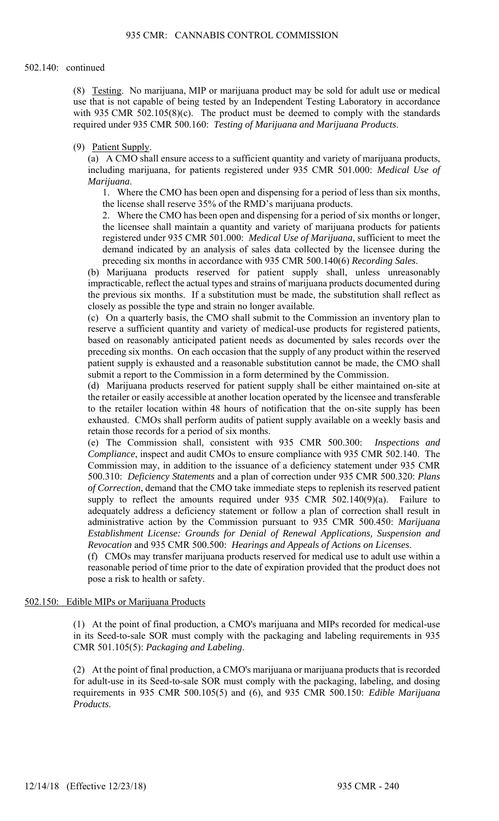(8) Testing. No marijuana, MIP or marijuana product may be sold for adult use or medical use that is not capable of being tested by an Independent Testing Laboratory in accordance with 935 CMR 502.105 $(8)(c)$ . The product must be deemed to comply with the standards required under 935 CMR 500.160: *Testing of Marijuana and Marijuana Products*.

# (9) Patient Supply.

(a) A CMO shall ensure access to a sufficient quantity and variety of marijuana products, including marijuana, for patients registered under 935 CMR 501.000: *Medical Use of Marijuana*.

1. Where the CMO has been open and dispensing for a period of less than six months, the license shall reserve 35% of the RMD's marijuana products.

2. Where the CMO has been open and dispensing for a period of six months or longer, the licensee shall maintain a quantity and variety of marijuana products for patients registered under 935 CMR 501.000: *Medical Use of Marijuana*, sufficient to meet the demand indicated by an analysis of sales data collected by the licensee during the preceding six months in accordance with 935 CMR 500.140(6) *Recording Sales*.

(b) Marijuana products reserved for patient supply shall, unless unreasonably impracticable, reflect the actual types and strains of marijuana products documented during the previous six months. If a substitution must be made, the substitution shall reflect as closely as possible the type and strain no longer available.

(c) On a quarterly basis, the CMO shall submit to the Commission an inventory plan to reserve a sufficient quantity and variety of medical-use products for registered patients, based on reasonably anticipated patient needs as documented by sales records over the preceding six months. On each occasion that the supply of any product within the reserved patient supply is exhausted and a reasonable substitution cannot be made, the CMO shall submit a report to the Commission in a form determined by the Commission.

(d) Marijuana products reserved for patient supply shall be either maintained on-site at the retailer or easily accessible at another location operated by the licensee and transferable to the retailer location within 48 hours of notification that the on-site supply has been exhausted. CMOs shall perform audits of patient supply available on a weekly basis and retain those records for a period of six months.

(e) The Commission shall, consistent with 935 CMR 500.300: *Inspections and Compliance*, inspect and audit CMOs to ensure compliance with 935 CMR 502.140. The Commission may, in addition to the issuance of a deficiency statement under 935 CMR 500.310: *Deficiency Statements* and a plan of correction under 935 CMR 500.320: *Plans of Correction*, demand that the CMO take immediate steps to replenish its reserved patient supply to reflect the amounts required under 935 CMR 502.140(9)(a). Failure to adequately address a deficiency statement or follow a plan of correction shall result in administrative action by the Commission pursuant to 935 CMR 500.450: *Marijuana Establishment License: Grounds for Denial of Renewal Applications, Suspension and Revocation* and 935 CMR 500.500: *Hearings and Appeals of Actions on Licenses*.

(f) CMOs may transfer marijuana products reserved for medical use to adult use within a reasonable period of time prior to the date of expiration provided that the product does not pose a risk to health or safety.

### 502.150: Edible MIPs or Marijuana Products

(1) At the point of final production, a CMO's marijuana and MIPs recorded for medical-use in its Seed-to-sale SOR must comply with the packaging and labeling requirements in 935 CMR 501.105(5): *Packaging and Labeling*.

(2) At the point of final production, a CMO's marijuana or marijuana products that is recorded for adult-use in its Seed-to-sale SOR must comply with the packaging, labeling, and dosing requirements in 935 CMR 500.105(5) and (6), and 935 CMR 500.150: *Edible Marijuana Products*.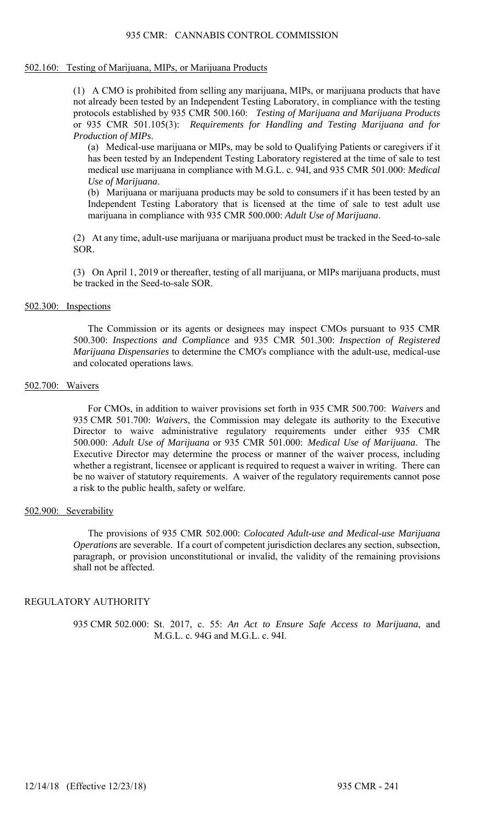#### 502.160: Testing of Marijuana, MIPs, or Marijuana Products

(1) A CMO is prohibited from selling any marijuana, MIPs, or marijuana products that have not already been tested by an Independent Testing Laboratory, in compliance with the testing protocols established by 935 CMR 500.160: *Testing of Marijuana and Marijuana Products* or 935 CMR 501.105(3): *Requirements for Handling and Testing Marijuana and for Production of MIPs*.

(a) Medical-use marijuana or MIPs, may be sold to Qualifying Patients or caregivers if it has been tested by an Independent Testing Laboratory registered at the time of sale to test medical use marijuana in compliance with M.G.L. c. 94I, and 935 CMR 501.000: *Medical Use of Marijuana*.

(b) Marijuana or marijuana products may be sold to consumers if it has been tested by an Independent Testing Laboratory that is licensed at the time of sale to test adult use marijuana in compliance with 935 CMR 500.000: *Adult Use of Marijuana*.

(2) At any time, adult-use marijuana or marijuana product must be tracked in the Seed-to-sale SOR.

(3) On April 1, 2019 or thereafter, testing of all marijuana, or MIPs marijuana products, must be tracked in the Seed-to-sale SOR.

#### 502.300: Inspections

The Commission or its agents or designees may inspect CMOs pursuant to 935 CMR 500.300: *Inspections and Compliance* and 935 CMR 501.300: *Inspection of Registered Marijuana Dispensaries* to determine the CMO's compliance with the adult-use, medical-use and colocated operations laws.

#### 502.700: Waivers

For CMOs, in addition to waiver provisions set forth in 935 CMR 500.700: *Waivers* and 935 CMR 501.700: *Waivers*, the Commission may delegate its authority to the Executive Director to waive administrative regulatory requirements under either 935 CMR 500.000: *Adult Use of Marijuana* or 935 CMR 501.000: *Medical Use of Marijuana*. The Executive Director may determine the process or manner of the waiver process, including whether a registrant, licensee or applicant is required to request a waiver in writing. There can be no waiver of statutory requirements. A waiver of the regulatory requirements cannot pose a risk to the public health, safety or welfare.

# 502.900: Severability

The provisions of 935 CMR 502.000: *Colocated Adult-use and Medical-use Marijuana Operations* are severable. If a court of competent jurisdiction declares any section, subsection, paragraph, or provision unconstitutional or invalid, the validity of the remaining provisions shall not be affected.

## REGULATORY AUTHORITY

935 CMR 502.000: St. 2017, c. 55: *An Act to Ensure Safe Access to Marijuana*, and M.G.L. c. 94G and M.G.L. c. 94I.